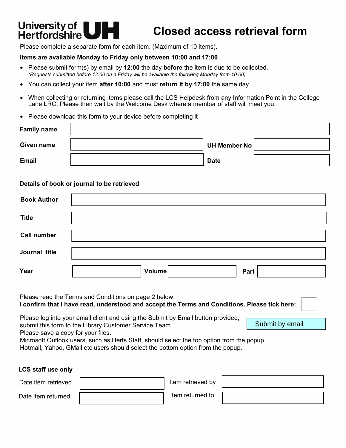# **Universityof**

## **Hertfordshire UH Closed access retrieval form**

Submit by email

Please complete a separate form for each item. (Maximum of 10 items).

#### **Items are available Monday to Friday only between 10:00 and 17:00**

- Please submit form(s) by email by **12:00** the day **before** the item is due to be collected. *(Requests submitted before 12:00 on a Friday will be available the following Monday from 10:00)*
- You can collect your item **after 10:00** and must **return it by 17:00** the same day.
- When collecting or returning items please call the LCS Helpdesk from any Information Point in the College Lane LRC. Please then wait by the Welcome Desk where a member of staff will meet you.
- Please download this form to your device before completing it

| <b>Family name</b> |                     |  |
|--------------------|---------------------|--|
| Given name         | <b>UH Member No</b> |  |
| <b>Email</b>       | <b>Date</b>         |  |

#### **Details of book or journal to be retrieved**

| <b>Book Author</b> |                |
|--------------------|----------------|
| <b>Title</b>       |                |
| <b>Call number</b> |                |
| Journal title      |                |
| Year               | Volume<br>Part |

Please read the Terms and Conditions on page 2 below. **I confirm that I have read, understood and accept the Terms and Conditions. Please tick here:** Please log into your email client and using the Submit by Email button provided,

submit this form to the Library Customer Service Team.

Please save a copy for your files.

Microsoft Outlook users, such as Herts Staff, should select the top option from the popup.

Hotmail, Yahoo, GMail etc users should select the bottom option from the popup.

**LCS staff use only**

| Date item retrieved | Item retrieved by |  |
|---------------------|-------------------|--|
| Date item returned  | Item returned to  |  |